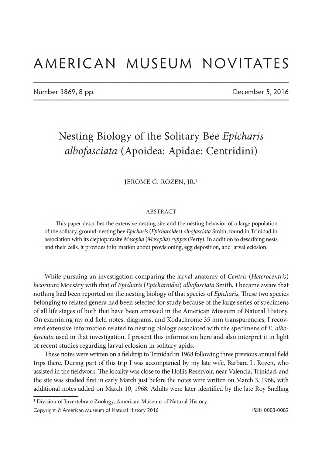# AMERICAN MUSEUM NOVITATES

Number 3869, 8 pp. December 5, 2016

## Nesting Biology of the Solitary Bee Epicharis albofasciata (Apoidea: Apidae: Centridini)

#### JEROME G. ROZEN, JR.1

#### ABSTRACT

This paper describes the extensive nesting site and the nesting behavior of a large population of the solitary, ground-nesting bee *Epicharis* (*Epicharoides*) albofasciata Smith, found in Trinidad in association with its cleptoparasite Mesoplia (Mesoplia) rufipes (Perty). In addition to describing nests and their cells, it provides information about provisioning, egg deposition, and larval eclosion.

While pursuing an investigation comparing the larval anatomy of *Centris* (*Heterocentris*) bicornuta Mocsáry with that of Epicharis (Epicharoides) albofasciata Smith, I became aware that nothing had been reported on the nesting biology of that species of *Epicharis*. These two species belonging to related genera had been selected for study because of the large series of specimens of all life stages of both that have been amassed in the American Museum of Natural History On examining my old field notes, diagrams, and Kodachrome 35 mm transparencies, I recovered extensive information related to nesting biology associated with the specimens of E. albofasciata used in that investigation. I present this information here and also interpret it in light of recent studies regarding larval eclosion in solitary apids.

These notes were written on a fieldtrip to Trinidad in 1968 following three previous annual field trips there. During part of this trip I was accompanied by my late wife, Barbara L. Rozen, who assisted in the fieldwork. The locality was close to the Hollis Reservoir, near Valencia, Trinidad, and the site was studied first in early March just before the notes were written on March 3, 1968, with additional notes added on March 10, 1968. Adults were later identified by the late Roy Snelling

<sup>&</sup>lt;sup>1</sup> Division of Invertebrate Zoology, American Museum of Natural History.

Copyright © American Museum of Natural History 2016 **ISSN 0003-0082** ISSN 0003-0082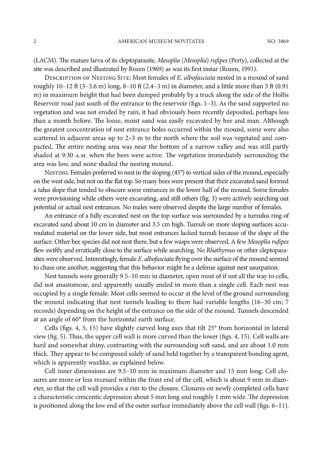(LACM). The mature larva of its cleptoparasite, Mesoplia (Mesoplia) rufipes (Perty), collected at the site was described and illustrated by Rozen (1969) as was its first instar (Rozen, 1991).

DESCRIPTION OF NESTING SITE: Most females of E. albofasciata nested in a mound of sand roughly 10-12 ft (3-3.6 m) long, 8-10 ft (2.4-3 m) in diameter, and a little more than 3 ft (0.91 m) in maximum height that had been dumped probably by a truck along the side ofthe Hollis Reservoir road just south of the entrance to the reservoir (figs.  $1-3$ ). As the sand supported no vegetation and was not eroded by rain, it had obviously been recently deposited, perhaps less than a month before. The loose, moist sand was easily excavated by bee and man. Although the greatest concentration of nest entrance holes occurred within the mound, some were also scattered in adjacent areas up to 2-3 m to the north where the soil was vegetated and compacted. The entire nesting area was near the bottom of a narrow valley and was still partly shaded at 9:30 a.m. when the bees were active. The vegetation immediately surrounding the area was low, and none shaded the nesting mound.

NESTING: Females preferred to nest in the sloping (45°) to vertical sides of the mound, especially on the west side, but not on the flat top. So many bees were present that their excavated sand formed a talus slope that tended to obscure some entrances in the lower half of the mound. Some females were provisioning while others were excavating, and still others (fig. 3) were actively searching out potential or actual nest entrances. No males were observed despite the large number of females.

An entrance of a fully excavated nest on the top surface was surrounded by a tumulus ring of excavated sand about 10 cm in diameter and 3.5 cm high. Tumuli on more sloping surfaces accumulated material on the lower side, but most entrances lacked tumuli because of the slope of the surface. Other bee species did not nest there, but a few wasps were observed. A few Mesoplia rufipes flew swiftly and erratically close to the surface while searching. No Rhathymus or other cleptoparasites were observed. Interestingly, female E. albofasciata flying over the surface of the mound seemed to chase one another, suggesting that this behavior might be a defense against nest usurpation.

Nest tunnels were generally 9.5-10 mm in diameter, open most of if not all the way to cells, did not anastomose, and apparently usually ended in more than a single cell. Each nest was occupied by a single female. Most cells seemed to occur at the level ofthe ground surrounding the mound indicating that nest tunnels leading to them had variable lengths (16-30 cm; 7 records) depending on the height of the entrance on the side of the mound. Tunnels descended at an angle of 60° from the horizontal earth surface.

Cells (figs. 4, 5, 15) have slightly curved long axes that tilt 25° from horizontal in lateral view (fig. 5). Thus, the upper cell wall is more curved than the lower (figs. 4, 15). Cell walls are hard and somewhat shiny, contrasting with the surrounding soft sand, and are about 1.0 mm thick. They appear to be composed solely of sand held together by a transparent bonding agent, which is apparently waxlike, as explained below.

Cell inner dimensions are  $9.5-10$  mm in maximum diameter and  $15$  mm long. Cell closures are more or less recessed within the front end of the cell, which is about 9 mm in diameter, so that the cell wall provides a rim to the closure. Closures on newly completed cells have a characteristic crescentic depression about 5 mm long and roughly <sup>1</sup> mm wide. The depression is positioned along the low end of the outer surface immediately above the cell wall (figs. 6-11).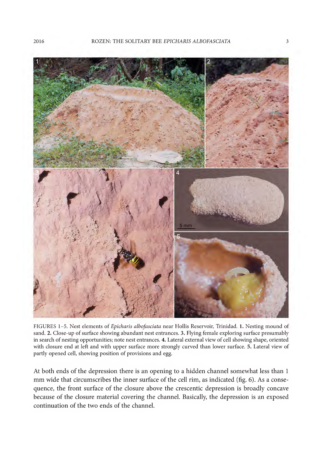

FIGURES 1-5. Nest elements of Epicharis albofasciata near Hollis Reservoir, Trinidad. 1. Nesting mound of sand. 2. Close-up of surface showing abundant nest entrances. 3. Flying female exploring surface presumably in search of nesting opportunities; note nest entrances. 4. Lateral external view of cell showing shape, oriented with closure end at left and with upper surface more strongly curved than lower surface. 5. Lateral view of partly opened cell, showing position of provisions and egg.

At both ends of the depression there is an opening to a hidden channel somewhat less than <sup>1</sup> mm wide that circumscribes the inner surface of the cell rim, as indicated (fig. 6). As a consequence, the front surface of the closure above the crescentic depression is broadly concave because of the closure material covering the channel. Basically, the depression is an exposed continuation of the two ends of the channel.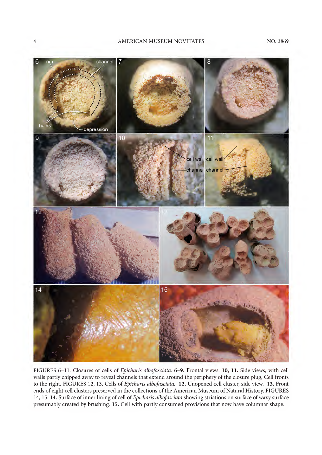

FIGURES 6-11. Closures of cells of Epicharis albofasciata. <sup>6</sup>-9. Frontal views. <sup>10</sup>, <sup>11</sup>. Side views, with cell walls partly chipped away to reveal channels that extend around the periphery of the closure plug, Cell fronts to the right. FIGURES 12, 13. Cells of Epicharis albofasciata. 12. Unopened cell cluster, side view. 13. Front ends of eight cell clusters preserved in the collections of the American Museum of Natural History. FIGURES 14, 15. 14. Surface of inner lining of cell of Epicharis albofasciata showing striations on surface of waxy surface presumably created by brushing. 15. Cell with partly consumed provisions that now have columnar shape.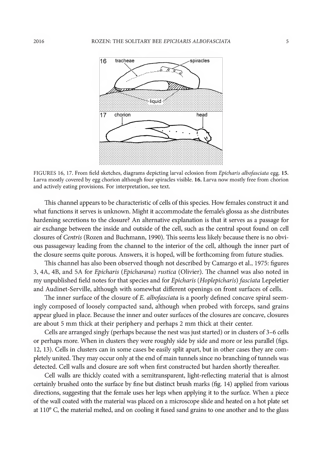

FIGURES 16, 17. From field sketches, diagrams depicting larval eclosion from Epicharis albofasciata egg. 15. Larva mostly covered by egg chorion although four spiracles visible. 16. Larva now mostly free from chorion and actively eating provisions. For interpretation, see text.

This channel appears to be characteristic of cells of this species. How females construct it and what functions it serves is unknown. Might it accommodate the female's glossa as she distributes hardening secretions to the closure? An alternative explanation is that it serves as a passage for air exchange between the inside and outside of the cell, such as the central spout found on cell closures of Centris (Rozen and Buchmann, 1990). This seems less likely because there is no obvious passageway leading from the channel to the interior of the cell, although the inner part of the closure seems quite porous. Answers, it is hoped, will be forthcoming from future studies.

This channel has also been observed though not described by Camargo et al., 1975: figures 3, 4A, 4B, and 5A for Epicharis (Epicharana) rustica (Olivier). The channel was also noted in my unpublished field notes for that species and for Epicharis (Hoplepicharis) fasciata Lepeletier and Audinet-Serville, although with somewhat different openings on front surfaces of cells.

The inner surface of the closure of E. albofasciata is a poorly defined concave spiral seemingly composed of loosely compacted sand, although when probed with forceps, sand grains appear glued in place. Because the inner and outer surfaces of the closures are concave, closures are about 5 mm thick at their periphery and perhaps 2 mm thick at their center.

Cells are arranged singly (perhaps because the nest was just started) or in clusters of 3-6 cells or perhaps more. When in clusters they were roughly side by side and more or less parallel (figs. 12, 13). Cells in clusters can in some cases be easily split apart, but in other cases they are com pletely united. They may occur only at the end of main tunnels since no branching of tunnels was detected. Cell walls and closure are soft when first constructed but harden shortly thereafter.

Cell walls are thickly coated with a semitransparent, light-reflecting material that is almost certainly brushed onto the surface by fine but distinct brush marks (fig. 14) applied from various directions, suggesting that the female uses her legs when applying it to the surface. When a piece ofthe wall coated with the material was placed on a microscope slide and heated on a hot plate set at 110° C, the material melted, and on cooling it fused sand grains to one another and to the glass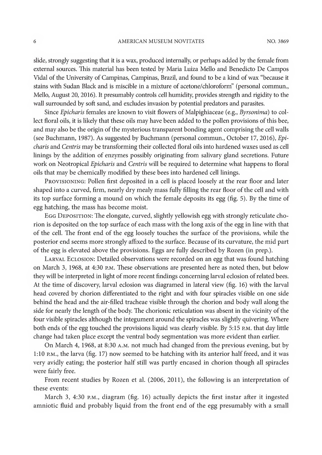slide, strongly suggesting that it is a wax, produced internally, or perhaps added by the female from external sources. This material has been tested by Maria Luiza Mello and Benedicto De Campos Vidal of the University of Campinas, Campinas, Brazil, and found to be a kind of wax "because it stains with Sudan Black and is miscible in a mixture of acetone/chloroform" (personal commun., Mello, August 20, 2016). It presumably controls cell humidity, provides strength and rigidity to the wall surrounded by soft sand, and excludes invasion by potential predators and parasites.

Since Epicharis females are known to visit flowers of Malpighiaceae (e.g., Byrsonima) to collect floral oils, it is likely that these oils may have been added to the pollen provisions of this bee, and may also be the origin of the mysterious transparent bonding agent comprising the cell walls (see Buchmann, 1987). As suggested by Buchmann (personal commun., October 17, 2016), Epicharis and Centris may be transforming their collected floral oils into hardened waxes used as cell linings by the addition of enzymes possibly originating from salivary gland secretions. Future work on Neotropical Epicharis and Centris will be required to determine what happens to floral oils that may be chemically modified by these bees into hardened cell linings.

Provisioning: Pollen first deposited in a cell is placed loosely at the rear floor and later shaped into a curved, firm, nearly dry mealy mass fully filling the rear floor of the cell and with its top surface forming a mound on which the female deposits its egg (fig. 5). By the time of egg hatching, the mass has become moist.

EGG DEPOSITION: The elongate, curved, slightly yellowish egg with strongly reticulate chorion is deposited on the top surface of each mass with the long axis of the egg in line with that of the cell. The front end of the egg loosely touches the surface of the provisions, while the posterior end seems more strongly affixed to the surface. Because of its curvature, the mid part of the egg is elevated above the provisions. Eggs are fully described by Rozen (in prep.).

Larval Eclosion: Detailed observations were recorded on an egg that was found hatching on March 3, 1968, at 4:30 p.m. These observations are presented here as noted then, but below they will be interpreted in light of more recent findings concerning larval eclosion of related bees. At the time of discovery, larval eclosion was diagramed in lateral view (fig. 16) with the larval head covered by chorion differentiated to the right and with four spiracles visible on one side behind the head and the air-filled tracheae visible through the chorion and body wall along the side for nearly the length of the body. The chorionic reticulation was absent in the vicinity of the four visible spiracles although the integument around the spiracles was slightly quivering. Where both ends of the egg touched the provisions liquid was clearly visible. By 5:15 p.m. that day little change had taken place except the ventral body segmentation was more evident than earlier.

On March 4, 1968, at 8:30 a.m. not much had changed from the previous evening, but by 1:10 p.m., the larva (fig. 17) now seemed to be hatching with its anterior half freed, and it was very avidly eating; the posterior half still was partly encased in chorion though all spiracles were fairly free.

From recent studies by Rozen et al. (2006, 2011), the following is an interpretation of these events:

March 3, 4:30 p.m., diagram (fig. 16) actually depicts the first instar after it ingested amniotic fluid and probably liquid from the front end of the egg presumably with a small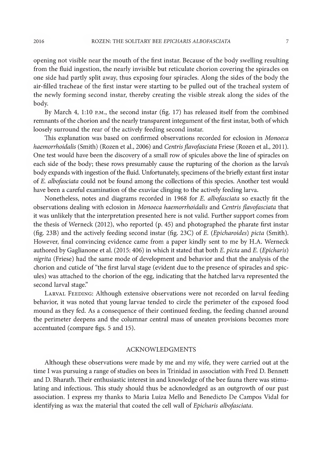opening not visible near the mouth of the first instar. Because of the body swelling resulting from the fluid ingestion, the nearly invisible but reticulate chorion covering the spiracles on one side had partly split away, thus exposing four spiracles. Along the sides of the body the air-filled tracheae of the first instar were starting to be pulled out of the tracheal system of the newly forming second instar, thereby creating the visible streak along the sides of the body.

By March 4, 1:10 p.m., the second instar (fig. 17) has released itself from the combined remnants of the chorion and the nearly transparent integument of the first instar, both of which loosely surround the rear of the actively feeding second instar.

This explanation was based on confirmed observations recorded for eclosion in Monoeca haemorrhoidalis (Smith) (Rozen et al., 2006) and Centris flavofasciata Friese (Rozen et al., 2011). One test would have been the discovery of a small row of spicules above the line of spiracles on each side of the body; these rows presumably cause the rupturing of the chorion as the larva's body expands with ingestion of the fluid. Unfortunately, specimens of the briefly extant first instar of E. albofasciata could not be found among the collections of this species. Another test would have been a careful examination of the exuviae clinging to the actively feeding larva.

Nonetheless, notes and diagrams recorded in 1968 for E. albofasciata so exactly fit the observations dealing with eclosion in Monoeca haemorrhoidalis and Centris flavofasciata that it was unlikely that the interpretation presented here is not valid. Further support comes from the thesis of Werneck (2012), who reported (p. 45) and photographed the pharate first instar (fig. 23B) and the actively feeding second instar (fig. 23C) of E. (Epicharoides) picta (Smith). However, final convincing evidence came from a paper kindly sent to me by H.A. Werneck authored by Gaglianone et al. (2015: 406) in which it stated that both E. picta and E. (Epicharis) nigrita (Friese) had the same mode of development and behavior and that the analysis of the chorion and cuticle of "the first larval stage (evident due to the presence of spiracles and spicules) was attached to the chorion of the egg, indicating that the hatched larva represented the second larval stage."

Larval Feeding: Although extensive observations were not recorded on larval feeding behavior, it was noted that young larvae tended to circle the perimeter of the exposed food mound as they fed. As a consequence of their continued feeding, the feeding channel around the perimeter deepens and the columnar central mass of uneaten provisions becomes more accentuated (compare figs. 5 and 15).

### ACKNOWLEDGMENTS

Although these observations were made by me and my wife, they were carried out at the time I was pursuing a range of studies on bees in Trinidad in association with Fred D. Bennett and D. Bharath. Their enthusiastic interest in and knowledge of the bee fauna there was stimulating and infectious. This study should thus be acknowledged as an outgrowth of our past association. I express my thanks to Maria Luiza Mello and Benedicto De Campos Vidal for identifying as wax the material that coated the cell wall of Epicharis albofasciata.